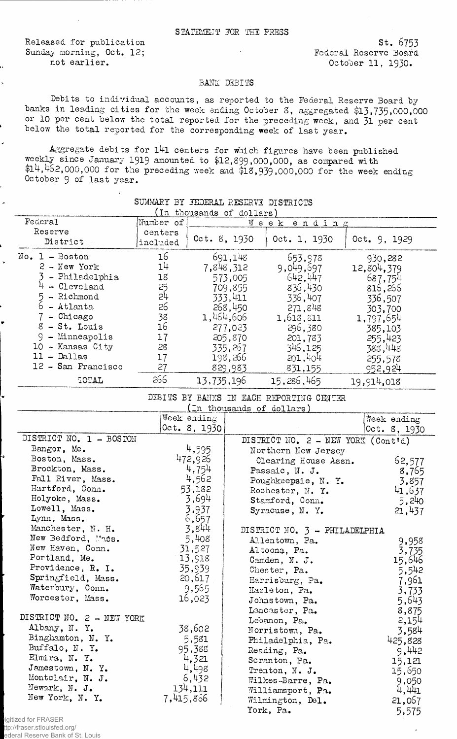Released, for publication Sunday morning, Oct. 12; not earlier.

s t. 6753 Federal Reserve Board October 11, 1930.

## BANK DEBITS

Debits to individual accounts, as reported to the Federal Reserve Board by banks in leading cities for the week ending October 3, aggregated \$13,735,000,000 or 10 per cent below the total reported for the preceding week, and 31 per cent below the total reported for the corresponding week of last year.

Aggregate debits for l4l centers for which figures have been published weekly since January 1919 amounted to \$12,899,000,000, as compared with \$14,462,000,000 for the preceding week and \$18,939,000,000 for the week ending October 9 of last year.

| (In thousands of dollars)                |           |              |           |                                      |              |  |
|------------------------------------------|-----------|--------------|-----------|--------------------------------------|--------------|--|
| Federal                                  | Number of |              |           | Week ending                          |              |  |
| Reserve                                  | centers   |              |           |                                      |              |  |
| District                                 | included  | Oct. 8, 1930 |           | 0ct. 1, 1930                         | 0ct. 9, 1929 |  |
| $No. 1 - Boston$                         | 16        |              | 691,148   | 653,978                              | 930,282      |  |
| $2 - New York$                           | 14        |              | 7,848,312 | 9,049,697                            | 12,804,379   |  |
| 3 - Philadelphia                         | 18        |              | 573,005   | 642,447                              |              |  |
| $4 -$ Cleveland                          | 25        |              | 709,855   | 836,430                              | 687,754      |  |
| $5$ - Richmond                           | 24        |              | 333,411   |                                      | 816,266      |  |
| $\bar{6}$ - Atlanta                      | 26        |              |           | 336,407                              | 336,507      |  |
| 7 - Chicago                              |           |              | 268,450   | 271,848                              | 303,700      |  |
|                                          | 38        |              | 1,464,606 | 1,613,811                            | 1,797,654    |  |
| 8 - St. Louis                            | 16        |              | 277,023   | 296,380                              | 385,103      |  |
| 9 - Minneapolis                          | 17        |              | 205,870   | 201,783                              | 255,423      |  |
| 10 - Kansas City                         | 28        |              | 335,267   | 346,125                              | 388,448      |  |
| $11 -$ Dallas                            | 17        |              | 198,266   | 201,404                              | 255,578      |  |
| 12 - San Francisco                       | 27        |              | 829,983   | 831,155                              | 952,924      |  |
| TOTAL                                    | 266       | 13,735,196   |           | 15,286,465                           | 19,914,018   |  |
| DEBITS BY BANKS IN EACH REPORTING CENTER |           |              |           |                                      |              |  |
| (In thousands of dollars)                |           |              |           |                                      |              |  |
|                                          |           | Week ending  |           |                                      | Week ending  |  |
|                                          |           | Oct. 8, 1930 |           |                                      | Oct. 8, 1930 |  |
| DISTRICT NO. 1 - BOSTON                  |           |              |           | DISTRICT NO. $2 - NEW YORK (Cont'd)$ |              |  |
| Bangor, Me.                              |           | 4,595        |           | Northern New Jersey                  |              |  |
| Boston, Mass.                            |           | 472,926      |           | Clearing House Assn.                 | 62,577       |  |
| Brockton, Mass.                          |           | 4,754        |           | Passaic, N. J.                       | 8,765        |  |
| Fall River, Mass.                        |           | 4,562        |           | Poughkeepsie, N. Y.                  | 3,857        |  |
| Hartford, Conn.                          |           | 53,182       |           | Rochester, N. Y.                     | 41,637       |  |
| Holyoke, Mass.                           |           | 3,694        |           | Stamford, Conn.                      | 5,240        |  |
| Lowell, Mass.                            |           | 3,937        |           | Syracuse, N. Y.                      | 21,437       |  |
| Lynn, Mass.                              |           | 6,657        |           |                                      |              |  |
| Manchester, N. H.                        |           | 3,844        |           | DISTRICT NO. 3 - PHILADELPHIA        |              |  |
| New Bedford, Moss.                       |           | 5,408        |           | Allentown, Pa.                       |              |  |
| New Haven, Conn.                         |           | 31,527       |           |                                      | 9,958        |  |
| Portland, Me.                            |           | 13,918       |           | Altoona, Pa.                         | 3,735        |  |
| Providence, R. I.                        |           | 35,939       |           | Camden, N. J.                        | 15,646       |  |
| Springfield, Mass.                       |           | 20,617       |           | Chester, Pa.                         | 5,542        |  |
| Waterbury, Conn.                         |           |              |           | Harrisburg, Pa.                      | 7,961        |  |
| Worcester, Mass.                         |           | 9,565        |           | Hazleton, Pa.                        | 3,733        |  |
|                                          |           | 16,023       |           | Johnstown, Pa.                       | 5,643        |  |
| DISTRICT NO. 2 - NEW YORK                |           |              |           | Lancaster, Pa.                       | 8,875        |  |
|                                          |           |              |           | Lebanon, Pa.                         | 2,154        |  |
| Albany, N.Y.                             |           | 38,602       |           | Norristown, Pa.                      | 3,584        |  |
| Binghamton, N. Y.                        |           | 5,581        |           | Philadelphia, Pa.                    | 425,828      |  |
| Buffalo, $N. Y.$                         |           | 95,388       |           | Reading, Pa.                         | 9,442        |  |
| Elmira, N.Y.                             |           | 4,321        |           | Scranton, Pa.                        | 15,121       |  |
| Jamestown, N. Y.                         |           | 4,498        |           | Trenton, N. J.                       | 15,650       |  |
| Montclair, N. J.                         |           | 6,432        |           | Wilkes-Barre, Pa.                    | 9,050        |  |
| Newark, N. J.                            |           | 134,111      |           | Williamsport, Pa.                    | 4,441        |  |
| New York, N. Y.                          | 7,415,866 |              |           | Wilmington, Del.                     | 21,067       |  |
|                                          |           |              |           | York, Pa.                            | 5,575        |  |

## SUMMARY BY FEDERAL RESERVE DISTRICTS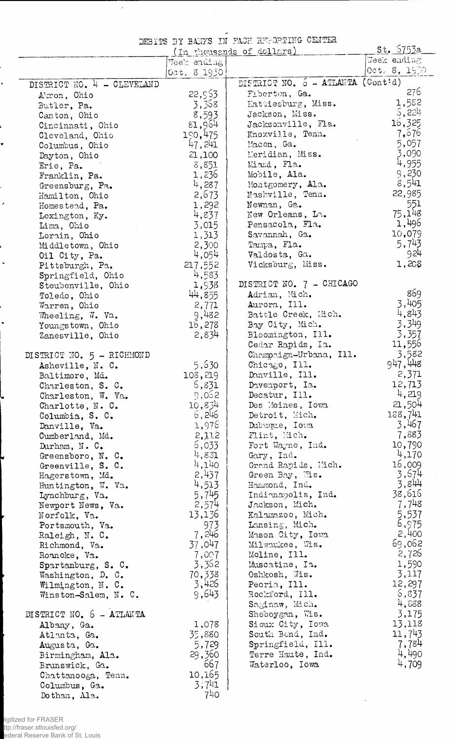DEBITS BY BANKS IN FACH REPORTING CENTER

 $\overline{\phantom{a}}$ 

 $\ddot{\phantom{0}}$ 

ļ

¥

.

 $\bar{\phantom{a}}$ 

þ.  $\ddot{\phantom{1}}$ 

|                            | (In thousands of dollars) | St. 5753a                         |                     |
|----------------------------|---------------------------|-----------------------------------|---------------------|
|                            | Week ending               |                                   | Week ending         |
|                            | [0pt, 8, 1930]            |                                   | $0$ ct. $8, 19$ 30. |
| DISTRICT NO. 4 - CLEVELAND |                           | DISTRICT NO. 6 - ATLANTA (Cont'd) |                     |
| Akron, Ohio                | 22,953                    | Fiberton, Ga.                     | 276                 |
| Butler, Pa.                | 3,368                     | Hattiesburg, Miss.                | 1,582               |
| Canton, Ohio               | 8,593                     | Jackson, Miss.                    | 6,224               |
| Cincinnati, Ohio           | 81,964                    | Jacksonville, Fla.                | 16,325              |
| Cleveland, Ohio            | 190,475                   | Knoxville, Tenn.                  | 7,576               |
| Columbus, Ohio             | 47,241                    | Macon, Ga.                        | 5,057               |
| Dayton, Ohio               | 21,100                    | Meridian, Miss.                   | 3,090               |
| Erie, Pa.                  | 3,851                     | Miami, Fla.                       | 4,955               |
| Franklin, Pa.              | 1,236                     | Mobile, Ala.                      | 9,230               |
| Greensburg, Pa.            | 4,287                     | Montgomery, Ala.                  | 8,541               |
| Hamilton, Ohio             | 2,673                     | Nashville, Tenn.                  | 22,985              |
| Homestead, Pa.             | 1,292                     | Newnan, Ga.                       | 551                 |
| Lexington, Ky.             | 4,837                     | New Orleans, La.                  | 75,148              |
| Lima, Ohio                 | 3,015                     | Pensacola, Fla.                   | 1,496               |
| Lorain, Ohio               | 1,313                     | Savannah, Ga.                     | 10,079              |
|                            | 2,300                     | Tampa, Fla.                       | 5,743               |
| Middletown, Ohio           | 4,054                     | Valdosta, Ga.                     | 924                 |
| Oil City, Pa.              |                           | Vicksburg, Miss.                  | $1,20$ g            |
| Pittsburgh, Pa.            | 217,552                   |                                   |                     |
| Springfield, Ohio          | 4,583                     | DISTRICT NO. 7 - CHICAGO          |                     |
| Steubenville, Ohio         | 1,938                     |                                   | 869                 |
| Toledo, Ohio               | 44,855                    | Adrian, Mich.                     | 3,405               |
| Warren, Ohio               | 2,771                     | Aurora, Ill.                      |                     |
| Wheeling, W. Va.           | 9,482                     | Battle Creek, Mich.               | 4,843               |
| Youngstown, Ohio           | 16,278                    | Bay City, Mich.                   | 3,349               |
| Zanesville, Ohio           | 2,834                     | Bloomington, Ill.                 | 3,357               |
|                            |                           | Cedar Rapids, Ia.                 | 11,556              |
| DISTRICT NO. 5 - RICHMOND  |                           | Champaign-Urbana, Ill.            | 3,582               |
| Asheville, N. C.           | 5,630                     | Chicago, Ill.                     | 947,448             |
| Baltimore, Md.             | 108,219                   | Danville, Ill.                    | 2,371               |
| Charleston, S. C.          | 5,831                     | Davenport, Ia.                    | 12,713              |
| Charleston, W. Va.         | 9,052                     | Decatur, Ill.                     | 4,219               |
| Charlotte, N.C.            | 10,834                    | Des Moines, Iowa                  | 21,504              |
| Columbia, S. C.            | 6,246                     | Detroit, Mich.                    | 138,741             |
| Danville, Va.              | 1,976                     | Dubuque, Iowa                     | 3,467               |
| Cumberland, Md.            | 2,112                     | Flint, Mich.                      | 7,883               |
| Durham, $N. C.$            | 6,033                     | Fort Wayne, Ind.                  | 10,790              |
| Greensboro, N. C.          | 4,831                     | Gary, Ind.                        | 4,170               |
| Greenville, S. C.          | 4,140                     | Grand Rapids, Mich.               | 16,009              |
| Hagerstown, Md.            | 2,437                     | Green Bay, Wis.                   | 3,674               |
| Huntington, W. Va.         | 4,513                     | Hammond, Ind.                     | 3,844               |
| Lynchburg, Va.             | 5,745                     | Indianapolis, Ind.                | 38,616              |
| Newport News, Va.          | 2,574                     | Jackson, Mich.                    | 7,748               |
| Norfolk, Va.               | 13,136                    | Kalamazoo, Mich.                  | 5,537               |
| Portsmouth, Va.            | 973                       | Lansing, Mich.                    | 6,975               |
| Raleigh, N.C.              | 7,246                     | Mason City, Iowa                  | 2,400               |
| Richmond, Va.              | 37,047                    | Milwaukee, Wis.                   | 69,062              |
| Roanoke, Va.               | 7,007                     | Moline, Ill.                      | 2,726               |
| Spartanburg, S. C.         | 3,362                     | Muscatine, Ia.                    | 1,590               |
| Washington, D. C.          | 70,338                    | Oshkosh, Wis.                     | 3,117               |
| Wilmington, N. C.          | 3,426                     | Peoria, Ill.                      | 12,297              |
| Winston-Salem, N. C.       | 9,643                     | Rockford, Ill.                    | 5,837               |
|                            |                           | Saginaw, Mich.                    | 4,888               |
| DISTRICT NO. 6 - ATLANTA   |                           | Sheboygan, Wis.                   | 3,175               |
| Albany, Ga.                | 1,078                     | Sioux City, Iowa                  | 13,118              |
| Atlanta, Ga.               | 35,880                    | South Bend, Ind.                  | 11,743              |
|                            | 5,729                     | Springfield, Ill.                 | 7,784               |
| Augusta, Ga.               | 29,360                    | Terre Haute, Ind.                 | 4,490               |
| Birmingham, Ala.           |                           |                                   | 4,709               |
| Brunswick, Ga.             | 667                       | Waterloo, Iowa                    |                     |
| Chattanooga, Tenn.         | 10,165                    |                                   |                     |
| Columbus, Ga.              | 3,741                     |                                   |                     |
| Dothan, Ala.               | 740                       |                                   |                     |